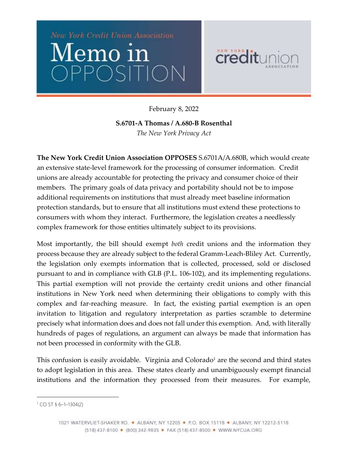



February 8, 2022

**S.6701-A Thomas / A.680-B Rosenthal** *The New York Privacy Act*

**The New York Credit Union Association OPPOSES** S.6701A/A.680B, which would create an extensive state-level framework for the processing of consumer information. Credit unions are already accountable for protecting the privacy and consumer choice of their members. The primary goals of data privacy and portability should not be to impose additional requirements on institutions that must already meet baseline information protection standards, but to ensure that all institutions must extend these protections to consumers with whom they interact. Furthermore, the legislation creates a needlessly complex framework for those entities ultimately subject to its provisions.

Most importantly, the bill should exempt *both* credit unions and the information they process because they are already subject to the federal Gramm-Leach-Bliley Act. Currently, the legislation only exempts information that is collected, processed, sold or disclosed pursuant to and in compliance with GLB (P.L. 106-102), and its implementing regulations. This partial exemption will not provide the certainty credit unions and other financial institutions in New York need when determining their obligations to comply with this complex and far-reaching measure. In fact, the existing partial exemption is an open invitation to litigation and regulatory interpretation as parties scramble to determine precisely what information does and does not fall under this exemption. And, with literally hundreds of pages of regulations, an argument can always be made that information has not been processed in conformity with the GLB.

This confusion is easily avoidable. Virginia and  $Colorado<sup>1</sup>$  are the second and third states to adopt legislation in this area. These states clearly and unambiguously exempt financial institutions and the information they processed from their measures. For example,

l

<sup>1</sup> CO ST § 6–1–1304(2)